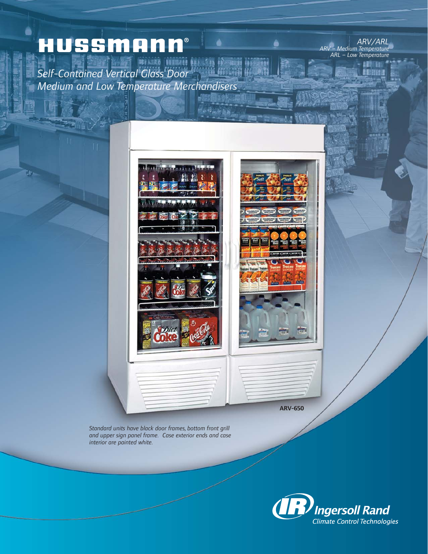# HUSSMANN®

*Self-Contained Vertical Glass Door Medium and Low Temperature Merchandisers*

*ARV/ARL ARV – Medium Temperature ARL – Low Temperature*

> i Ka 图图



 $4 - 9 + 9 + 4$ 

**ARV-650**

*Standard units have black door frames, bottom front grill and upper sign panel frame. Case exterior ends and case interior are painted white.*

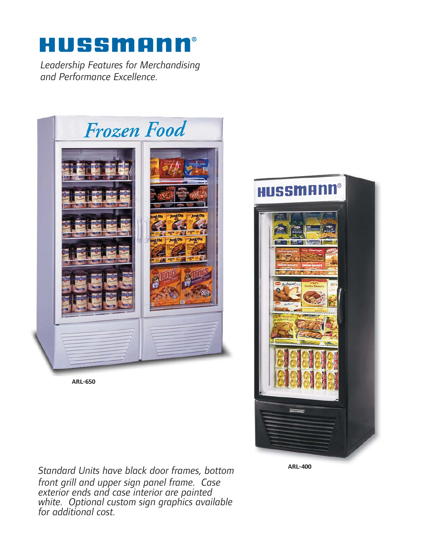## HUSSMANN®

*Leadership Features for Merchandising and Performance Excellence.*



**ARL-650**



*Standard Units have black door frames, bottom front grill and upper sign panel frame. Case exterior ends and case interior are painted white. Optional custom sign graphics available for additional cost.*

**ARL-400**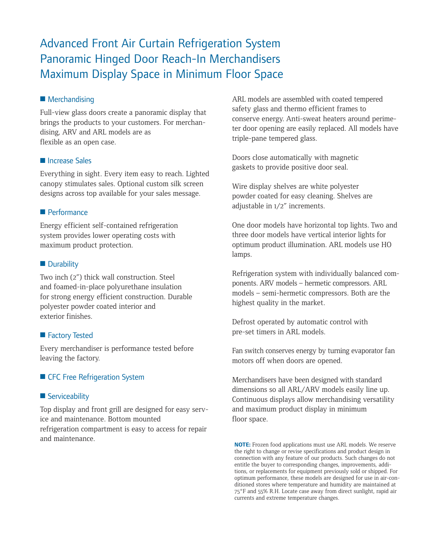### Advanced Front Air Curtain Refrigeration System Panoramic Hinged Door Reach-In Merchandisers Maximum Display Space in Minimum Floor Space

#### ■ Merchandising

Full-view glass doors create a panoramic display that brings the products to your customers. For merchandising, ARV and ARL models are as flexible as an open case.

#### ■ Increase Sales

Everything in sight. Every item easy to reach. Lighted canopy stimulates sales. Optional custom silk screen designs across top available for your sales message.

#### ■ Performance

Energy efficient self-contained refrigeration system provides lower operating costs with maximum product protection.

#### ■ Durability

Two inch (2") thick wall construction. Steel and foamed-in-place polyurethane insulation for strong energy efficient construction. Durable polyester powder coated interior and exterior finishes.

#### ■ Factory Tested

Every merchandiser is performance tested before leaving the factory.

#### ■ CFC Free Refrigeration System

#### ■ Serviceability

Top display and front grill are designed for easy service and maintenance. Bottom mounted refrigeration compartment is easy to access for repair and maintenance.

ARL models are assembled with coated tempered safety glass and thermo efficient frames to conserve energy. Anti-sweat heaters around perimeter door opening are easily replaced. All models have triple-pane tempered glass.

Doors close automatically with magnetic gaskets to provide positive door seal.

Wire display shelves are white polyester powder coated for easy cleaning. Shelves are adjustable in 1/2" increments.

One door models have horizontal top lights. Two and three door models have vertical interior lights for optimum product illumination. ARL models use HO lamps.

Refrigeration system with individually balanced components. ARV models – hermetic compressors. ARL models – semi-hermetic compressors. Both are the highest quality in the market.

Defrost operated by automatic control with pre-set timers in ARL models.

Fan switch conserves energy by turning evaporator fan motors off when doors are opened.

Merchandisers have been designed with standard dimensions so all ARL/ARV models easily line up. Continuous displays allow merchandising versatility and maximum product display in minimum floor space.

**NOTE:** Frozen food applications must use ARL models. We reserve the right to change or revise specifications and product design in connection with any feature of our products. Such changes do not entitle the buyer to corresponding changes, improvements, additions, or replacements for equipment previously sold or shipped. For optimum performance, these models are designed for use in air-conditioned stores where temperature and humidity are maintained at 75°F and 55% R.H. Locate case away from direct sunlight, rapid air currents and extreme temperature changes.